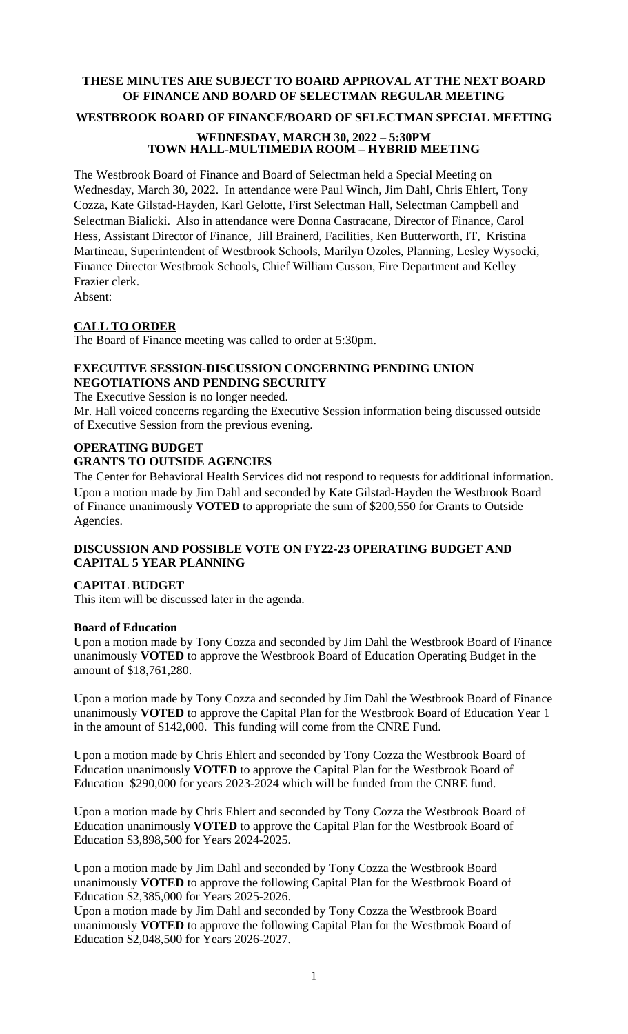# **THESE MINUTES ARE SUBJECT TO BOARD APPROVAL AT THE NEXT BOARD OF FINANCE AND BOARD OF SELECTMAN REGULAR MEETING**

### **WESTBROOK BOARD OF FINANCE/BOARD OF SELECTMAN SPECIAL MEETING**

## **WEDNESDAY, MARCH 30, 2022 – 5:30PM TOWN HALL-MULTIMEDIA ROOM – HYBRID MEETING**

The Westbrook Board of Finance and Board of Selectman held a Special Meeting on Wednesday, March 30, 2022. In attendance were Paul Winch, Jim Dahl, Chris Ehlert, Tony Cozza, Kate Gilstad-Hayden, Karl Gelotte, First Selectman Hall, Selectman Campbell and Selectman Bialicki. Also in attendance were Donna Castracane, Director of Finance, Carol Hess, Assistant Director of Finance, Jill Brainerd, Facilities, Ken Butterworth, IT, Kristina Martineau, Superintendent of Westbrook Schools, Marilyn Ozoles, Planning, Lesley Wysocki, Finance Director Westbrook Schools, Chief William Cusson, Fire Department and Kelley Frazier clerk.

Absent:

## **CALL TO ORDER**

The Board of Finance meeting was called to order at 5:30pm.

# **EXECUTIVE SESSION-DISCUSSION CONCERNING PENDING UNION NEGOTIATIONS AND PENDING SECURITY**

The Executive Session is no longer needed.

Mr. Hall voiced concerns regarding the Executive Session information being discussed outside of Executive Session from the previous evening.

### **OPERATING BUDGET GRANTS TO OUTSIDE AGENCIES**

The Center for Behavioral Health Services did not respond to requests for additional information. Upon a motion made by Jim Dahl and seconded by Kate Gilstad-Hayden the Westbrook Board of Finance unanimously **VOTED** to appropriate the sum of \$200,550 for Grants to Outside Agencies.

# **DISCUSSION AND POSSIBLE VOTE ON FY22-23 OPERATING BUDGET AND CAPITAL 5 YEAR PLANNING**

## **CAPITAL BUDGET**

This item will be discussed later in the agenda.

#### **Board of Education**

Upon a motion made by Tony Cozza and seconded by Jim Dahl the Westbrook Board of Finance unanimously **VOTED** to approve the Westbrook Board of Education Operating Budget in the amount of \$18,761,280.

Upon a motion made by Tony Cozza and seconded by Jim Dahl the Westbrook Board of Finance unanimously **VOTED** to approve the Capital Plan for the Westbrook Board of Education Year 1 in the amount of \$142,000. This funding will come from the CNRE Fund.

Upon a motion made by Chris Ehlert and seconded by Tony Cozza the Westbrook Board of Education unanimously **VOTED** to approve the Capital Plan for the Westbrook Board of Education \$290,000 for years 2023-2024 which will be funded from the CNRE fund.

Upon a motion made by Chris Ehlert and seconded by Tony Cozza the Westbrook Board of Education unanimously **VOTED** to approve the Capital Plan for the Westbrook Board of Education \$3,898,500 for Years 2024-2025.

Upon a motion made by Jim Dahl and seconded by Tony Cozza the Westbrook Board unanimously **VOTED** to approve the following Capital Plan for the Westbrook Board of Education \$2,385,000 for Years 2025-2026.

Upon a motion made by Jim Dahl and seconded by Tony Cozza the Westbrook Board unanimously **VOTED** to approve the following Capital Plan for the Westbrook Board of Education \$2,048,500 for Years 2026-2027.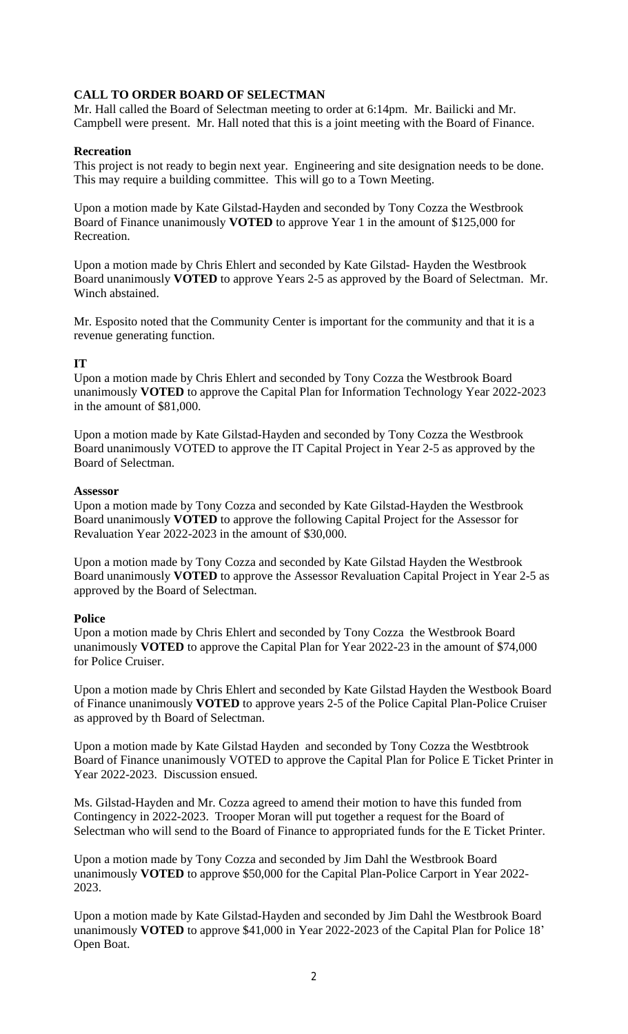# **CALL TO ORDER BOARD OF SELECTMAN**

Mr. Hall called the Board of Selectman meeting to order at 6:14pm. Mr. Bailicki and Mr. Campbell were present. Mr. Hall noted that this is a joint meeting with the Board of Finance.

### **Recreation**

This project is not ready to begin next year. Engineering and site designation needs to be done. This may require a building committee. This will go to a Town Meeting.

Upon a motion made by Kate Gilstad-Hayden and seconded by Tony Cozza the Westbrook Board of Finance unanimously **VOTED** to approve Year 1 in the amount of \$125,000 for Recreation.

Upon a motion made by Chris Ehlert and seconded by Kate Gilstad- Hayden the Westbrook Board unanimously **VOTED** to approve Years 2-5 as approved by the Board of Selectman. Mr. Winch abstained.

Mr. Esposito noted that the Community Center is important for the community and that it is a revenue generating function.

### **IT**

Upon a motion made by Chris Ehlert and seconded by Tony Cozza the Westbrook Board unanimously **VOTED** to approve the Capital Plan for Information Technology Year 2022-2023 in the amount of \$81,000.

Upon a motion made by Kate Gilstad-Hayden and seconded by Tony Cozza the Westbrook Board unanimously VOTED to approve the IT Capital Project in Year 2-5 as approved by the Board of Selectman.

#### **Assessor**

Upon a motion made by Tony Cozza and seconded by Kate Gilstad-Hayden the Westbrook Board unanimously **VOTED** to approve the following Capital Project for the Assessor for Revaluation Year 2022-2023 in the amount of \$30,000.

Upon a motion made by Tony Cozza and seconded by Kate Gilstad Hayden the Westbrook Board unanimously **VOTED** to approve the Assessor Revaluation Capital Project in Year 2-5 as approved by the Board of Selectman.

#### **Police**

Upon a motion made by Chris Ehlert and seconded by Tony Cozza the Westbrook Board unanimously **VOTED** to approve the Capital Plan for Year 2022-23 in the amount of \$74,000 for Police Cruiser.

Upon a motion made by Chris Ehlert and seconded by Kate Gilstad Hayden the Westbook Board of Finance unanimously **VOTED** to approve years 2-5 of the Police Capital Plan-Police Cruiser as approved by th Board of Selectman.

Upon a motion made by Kate Gilstad Hayden and seconded by Tony Cozza the Westbtrook Board of Finance unanimously VOTED to approve the Capital Plan for Police E Ticket Printer in Year 2022-2023. Discussion ensued.

Ms. Gilstad-Hayden and Mr. Cozza agreed to amend their motion to have this funded from Contingency in 2022-2023. Trooper Moran will put together a request for the Board of Selectman who will send to the Board of Finance to appropriated funds for the E Ticket Printer.

Upon a motion made by Tony Cozza and seconded by Jim Dahl the Westbrook Board unanimously **VOTED** to approve \$50,000 for the Capital Plan-Police Carport in Year 2022- 2023.

Upon a motion made by Kate Gilstad-Hayden and seconded by Jim Dahl the Westbrook Board unanimously **VOTED** to approve \$41,000 in Year 2022-2023 of the Capital Plan for Police 18' Open Boat.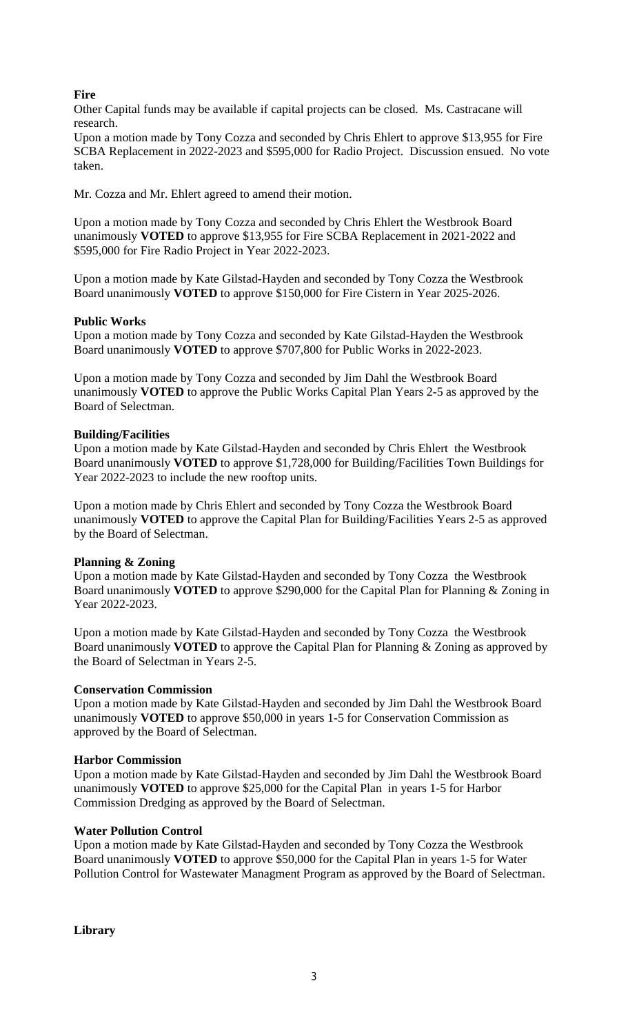# **Fire**

Other Capital funds may be available if capital projects can be closed. Ms. Castracane will research.

Upon a motion made by Tony Cozza and seconded by Chris Ehlert to approve \$13,955 for Fire SCBA Replacement in 2022-2023 and \$595,000 for Radio Project. Discussion ensued. No vote taken.

Mr. Cozza and Mr. Ehlert agreed to amend their motion.

Upon a motion made by Tony Cozza and seconded by Chris Ehlert the Westbrook Board unanimously **VOTED** to approve \$13,955 for Fire SCBA Replacement in 2021-2022 and \$595,000 for Fire Radio Project in Year 2022-2023.

Upon a motion made by Kate Gilstad-Hayden and seconded by Tony Cozza the Westbrook Board unanimously **VOTED** to approve \$150,000 for Fire Cistern in Year 2025-2026.

## **Public Works**

Upon a motion made by Tony Cozza and seconded by Kate Gilstad-Hayden the Westbrook Board unanimously **VOTED** to approve \$707,800 for Public Works in 2022-2023.

Upon a motion made by Tony Cozza and seconded by Jim Dahl the Westbrook Board unanimously **VOTED** to approve the Public Works Capital Plan Years 2-5 as approved by the Board of Selectman.

# **Building/Facilities**

Upon a motion made by Kate Gilstad-Hayden and seconded by Chris Ehlert the Westbrook Board unanimously **VOTED** to approve \$1,728,000 for Building/Facilities Town Buildings for Year 2022-2023 to include the new rooftop units.

Upon a motion made by Chris Ehlert and seconded by Tony Cozza the Westbrook Board unanimously **VOTED** to approve the Capital Plan for Building/Facilities Years 2-5 as approved by the Board of Selectman.

## **Planning & Zoning**

Upon a motion made by Kate Gilstad-Hayden and seconded by Tony Cozza the Westbrook Board unanimously **VOTED** to approve \$290,000 for the Capital Plan for Planning & Zoning in Year 2022-2023.

Upon a motion made by Kate Gilstad-Hayden and seconded by Tony Cozza the Westbrook Board unanimously **VOTED** to approve the Capital Plan for Planning & Zoning as approved by the Board of Selectman in Years 2-5.

## **Conservation Commission**

Upon a motion made by Kate Gilstad-Hayden and seconded by Jim Dahl the Westbrook Board unanimously **VOTED** to approve \$50,000 in years 1-5 for Conservation Commission as approved by the Board of Selectman.

## **Harbor Commission**

Upon a motion made by Kate Gilstad-Hayden and seconded by Jim Dahl the Westbrook Board unanimously **VOTED** to approve \$25,000 for the Capital Plan in years 1-5 for Harbor Commission Dredging as approved by the Board of Selectman.

## **Water Pollution Control**

Upon a motion made by Kate Gilstad-Hayden and seconded by Tony Cozza the Westbrook Board unanimously **VOTED** to approve \$50,000 for the Capital Plan in years 1-5 for Water Pollution Control for Wastewater Managment Program as approved by the Board of Selectman.

**Library**